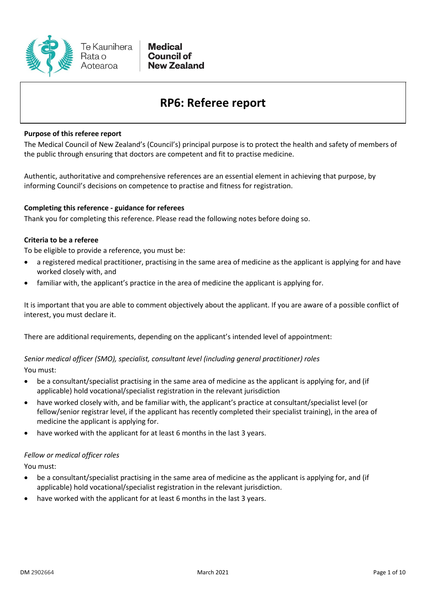

## **RP6: Referee report**

#### **Purpose of this referee report**

The Medical Council of New Zealand's (Council's) principal purpose is to protect the health and safety of members of the public through ensuring that doctors are competent and fit to practise medicine.

Authentic, authoritative and comprehensive references are an essential element in achieving that purpose, by informing Council's decisions on competence to practise and fitness for registration.

#### **Completing this reference - guidance for referees**

Thank you for completing this reference. Please read the following notes before doing so.

#### **Criteria to be a referee**

To be eligible to provide a reference, you must be:

- a registered medical practitioner, practising in the same area of medicine as the applicant is applying for and have worked closely with, and
- familiar with, the applicant's practice in the area of medicine the applicant is applying for.

It is important that you are able to comment objectively about the applicant. If you are aware of a possible conflict of interest, you must declare it.

There are additional requirements, depending on the applicant's intended level of appointment:

## *Senior medical officer (SMO), specialist, consultant level (including general practitioner) roles*

You must:

- be a consultant/specialist practising in the same area of medicine as the applicant is applying for, and (if applicable) hold vocational/specialist registration in the relevant jurisdiction
- have worked closely with, and be familiar with, the applicant's practice at consultant/specialist level (or fellow/senior registrar level, if the applicant has recently completed their specialist training), in the area of medicine the applicant is applying for.
- have worked with the applicant for at least 6 months in the last 3 years.

#### *Fellow or medical officer roles*

You must:

- be a consultant/specialist practising in the same area of medicine as the applicant is applying for, and (if applicable) hold vocational/specialist registration in the relevant jurisdiction.
- have worked with the applicant for at least 6 months in the last 3 years.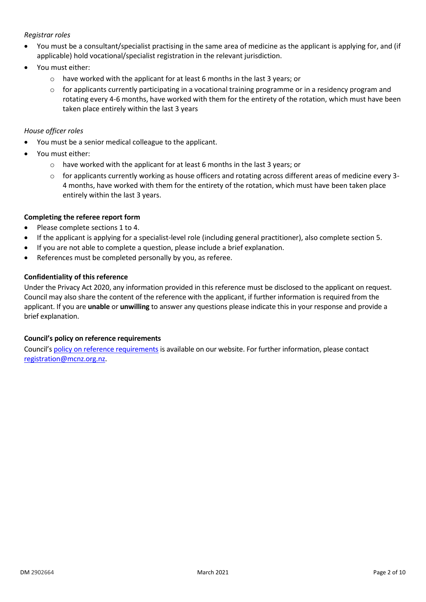#### *Registrar roles*

- You must be a consultant/specialist practising in the same area of medicine as the applicant is applying for, and (if applicable) hold vocational/specialist registration in the relevant jurisdiction.
- You must either:
	- o have worked with the applicant for at least 6 months in the last 3 years; or
	- o for applicants currently participating in a vocational training programme or in a residency program and rotating every 4-6 months, have worked with them for the entirety of the rotation, which must have been taken place entirely within the last 3 years

#### *House officer roles*

- You must be a senior medical colleague to the applicant.
- You must either:
	- o have worked with the applicant for at least 6 months in the last 3 years; or
	- o for applicants currently working as house officers and rotating across different areas of medicine every 3- 4 months, have worked with them for the entirety of the rotation, which must have been taken place entirely within the last 3 years.

### **Completing the referee report form**

- Please complete sections 1 to 4.
- If the applicant is applying for a specialist-level role (including general practitioner), also complete section 5.
- If you are not able to complete a question, please include a brief explanation.
- References must be completed personally by you, as referee.

#### **Confidentiality of this reference**

Under the Privacy Act 2020, any information provided in this reference must be disclosed to the applicant on request. Council may also share the content of the reference with the applicant, if further information is required from the applicant. If you are **unable** or **unwilling** to answer any questions please indicate this in your response and provide a brief explanation.

#### **Council's policy on reference requirements**

Council's [policy on reference requirements](https://www.mcnz.org.nz/registration/getting-registered/registration-policy/reference-requirements/) is available on our website. For further information, please contact [registration@mcnz.org.nz.](mailto:registration@mcnz.org.nz)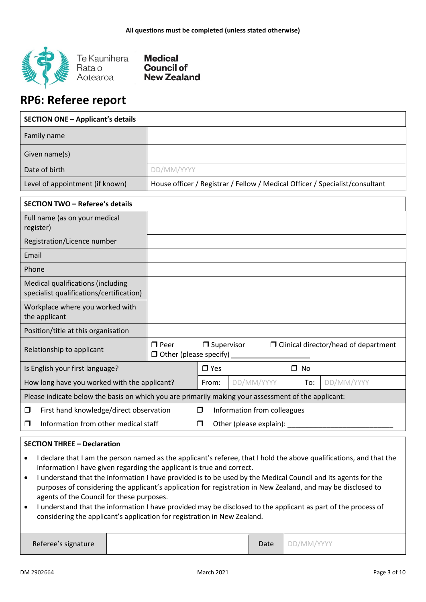

Te Kaunihera Rata o Aotearoa

**Medical Council of New Zealand** 

# **RP6: Referee report**

| <b>SECTION ONE - Applicant's details</b>                                                            |                                                     |                   |            |        |           |                                                                              |
|-----------------------------------------------------------------------------------------------------|-----------------------------------------------------|-------------------|------------|--------|-----------|------------------------------------------------------------------------------|
| Family name                                                                                         |                                                     |                   |            |        |           |                                                                              |
| Given name(s)                                                                                       |                                                     |                   |            |        |           |                                                                              |
| Date of birth                                                                                       | DD/MM/YYYY                                          |                   |            |        |           |                                                                              |
| Level of appointment (if known)                                                                     |                                                     |                   |            |        |           | House officer / Registrar / Fellow / Medical Officer / Specialist/consultant |
| <b>SECTION TWO - Referee's details</b>                                                              |                                                     |                   |            |        |           |                                                                              |
| Full name (as on your medical<br>register)                                                          |                                                     |                   |            |        |           |                                                                              |
| Registration/Licence number                                                                         |                                                     |                   |            |        |           |                                                                              |
| Email                                                                                               |                                                     |                   |            |        |           |                                                                              |
| Phone                                                                                               |                                                     |                   |            |        |           |                                                                              |
| Medical qualifications (including<br>specialist qualifications/certification)                       |                                                     |                   |            |        |           |                                                                              |
| Workplace where you worked with<br>the applicant                                                    |                                                     |                   |            |        |           |                                                                              |
| Position/title at this organisation                                                                 |                                                     |                   |            |        |           |                                                                              |
| Relationship to applicant                                                                           | $\Box$ Peer<br>$\Box$ Other (please specify) $\Box$ | $\Box$ Supervisor |            |        |           | $\Box$ Clinical director/head of department                                  |
| Is English your first language?                                                                     |                                                     | $\Box$ Yes        |            | $\Box$ | <b>No</b> |                                                                              |
| How long have you worked with the applicant?                                                        |                                                     | From:             | DD/MM/YYYY |        | To:       | DD/MM/YYYY                                                                   |
| Please indicate below the basis on which you are primarily making your assessment of the applicant: |                                                     |                   |            |        |           |                                                                              |

 $\Box$  First hand knowledge/direct observation  $\Box$  Information from colleagues

 $\Box$  Information from other medical staff  $\Box$  Other (please explain):

## **SECTION THREE – Declaration**

- I declare that I am the person named as the applicant's referee, that I hold the above qualifications, and that the information I have given regarding the applicant is true and correct.
- I understand that the information I have provided is to be used by the Medical Council and its agents for the purposes of considering the applicant's application for registration in New Zealand, and may be disclosed to agents of the Council for these purposes.
- I understand that the information I have provided may be disclosed to the applicant as part of the process of considering the applicant's application for registration in New Zealand.

Referee's signature and the contract of the Date DD/MM/YYYY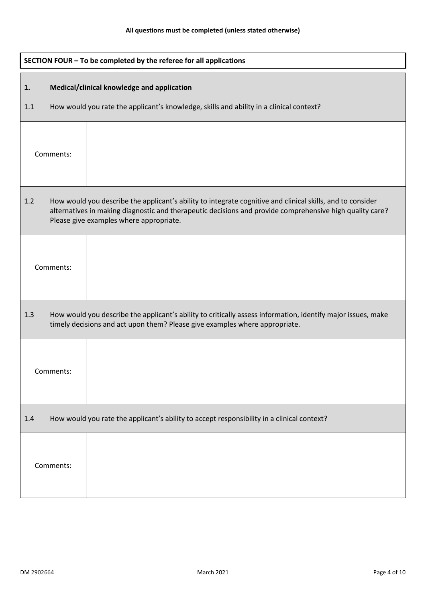| SECTION FOUR - To be completed by the referee for all applications                                |           |                                                                                                                                                                                                                                                                   |  |
|---------------------------------------------------------------------------------------------------|-----------|-------------------------------------------------------------------------------------------------------------------------------------------------------------------------------------------------------------------------------------------------------------------|--|
| 1.                                                                                                |           | Medical/clinical knowledge and application                                                                                                                                                                                                                        |  |
| 1.1                                                                                               |           | How would you rate the applicant's knowledge, skills and ability in a clinical context?                                                                                                                                                                           |  |
|                                                                                                   | Comments: |                                                                                                                                                                                                                                                                   |  |
| 1.2                                                                                               |           | How would you describe the applicant's ability to integrate cognitive and clinical skills, and to consider<br>alternatives in making diagnostic and therapeutic decisions and provide comprehensive high quality care?<br>Please give examples where appropriate. |  |
|                                                                                                   | Comments: |                                                                                                                                                                                                                                                                   |  |
| 1.3                                                                                               |           | How would you describe the applicant's ability to critically assess information, identify major issues, make<br>timely decisions and act upon them? Please give examples where appropriate.                                                                       |  |
|                                                                                                   | Comments: |                                                                                                                                                                                                                                                                   |  |
| How would you rate the applicant's ability to accept responsibility in a clinical context?<br>1.4 |           |                                                                                                                                                                                                                                                                   |  |
|                                                                                                   | Comments: |                                                                                                                                                                                                                                                                   |  |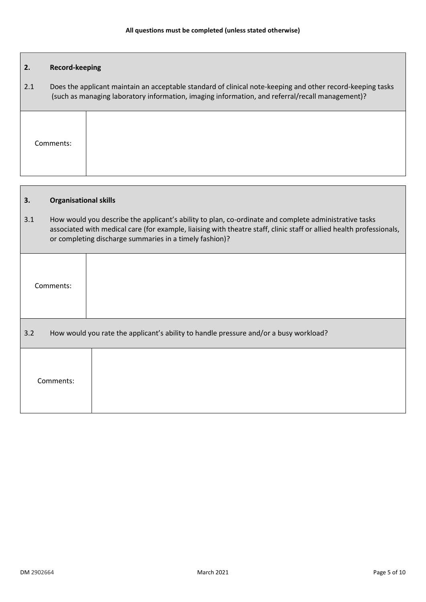| 2.  | <b>Record-keeping</b> |                                                                                                                                                                                                               |
|-----|-----------------------|---------------------------------------------------------------------------------------------------------------------------------------------------------------------------------------------------------------|
| 2.1 |                       | Does the applicant maintain an acceptable standard of clinical note-keeping and other record-keeping tasks<br>(such as managing laboratory information, imaging information, and referral/recall management)? |
|     | Comments:             |                                                                                                                                                                                                               |

| 3.                                                                                           | <b>Organisational skills</b>                                                                                                                                                                                                                                                             |  |  |  |
|----------------------------------------------------------------------------------------------|------------------------------------------------------------------------------------------------------------------------------------------------------------------------------------------------------------------------------------------------------------------------------------------|--|--|--|
| 3.1                                                                                          | How would you describe the applicant's ability to plan, co-ordinate and complete administrative tasks<br>associated with medical care (for example, liaising with theatre staff, clinic staff or allied health professionals,<br>or completing discharge summaries in a timely fashion)? |  |  |  |
|                                                                                              | Comments:                                                                                                                                                                                                                                                                                |  |  |  |
| How would you rate the applicant's ability to handle pressure and/or a busy workload?<br>3.2 |                                                                                                                                                                                                                                                                                          |  |  |  |
|                                                                                              | Comments:                                                                                                                                                                                                                                                                                |  |  |  |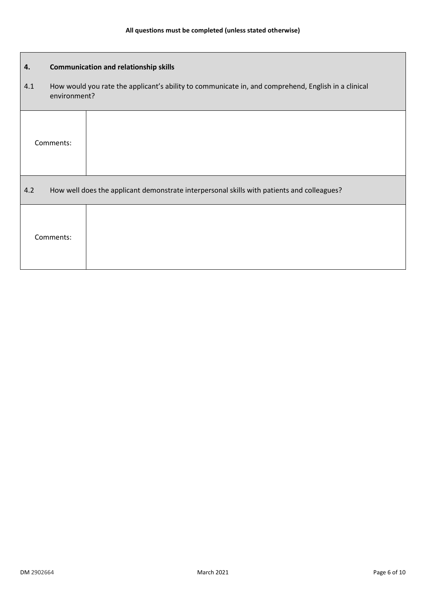| 4.                                                                                                | <b>Communication and relationship skills</b>                                                                        |  |  |  |  |
|---------------------------------------------------------------------------------------------------|---------------------------------------------------------------------------------------------------------------------|--|--|--|--|
| 4.1                                                                                               | How would you rate the applicant's ability to communicate in, and comprehend, English in a clinical<br>environment? |  |  |  |  |
|                                                                                                   | Comments:                                                                                                           |  |  |  |  |
| 4.2<br>How well does the applicant demonstrate interpersonal skills with patients and colleagues? |                                                                                                                     |  |  |  |  |
|                                                                                                   | Comments:                                                                                                           |  |  |  |  |

 $\mathbf{r}$ 

÷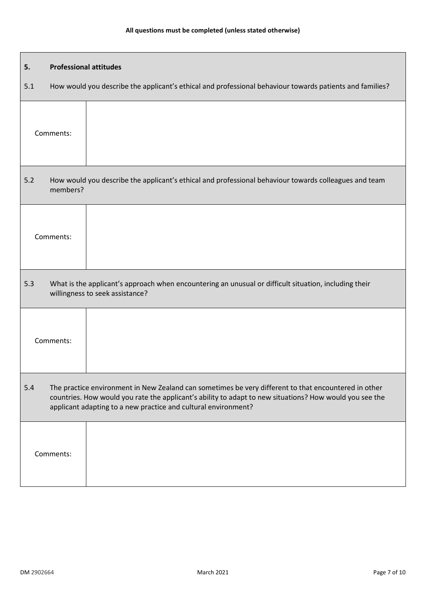| 5.  | <b>Professional attitudes</b>                                                                                                                                                                                                                                                     |                                                                                                                                          |  |
|-----|-----------------------------------------------------------------------------------------------------------------------------------------------------------------------------------------------------------------------------------------------------------------------------------|------------------------------------------------------------------------------------------------------------------------------------------|--|
| 5.1 |                                                                                                                                                                                                                                                                                   | How would you describe the applicant's ethical and professional behaviour towards patients and families?                                 |  |
|     | Comments:                                                                                                                                                                                                                                                                         |                                                                                                                                          |  |
| 5.2 | members?                                                                                                                                                                                                                                                                          | How would you describe the applicant's ethical and professional behaviour towards colleagues and team                                    |  |
|     | Comments:                                                                                                                                                                                                                                                                         |                                                                                                                                          |  |
| 5.3 |                                                                                                                                                                                                                                                                                   | What is the applicant's approach when encountering an unusual or difficult situation, including their<br>willingness to seek assistance? |  |
|     | Comments:                                                                                                                                                                                                                                                                         |                                                                                                                                          |  |
| 5.4 | The practice environment in New Zealand can sometimes be very different to that encountered in other<br>countries. How would you rate the applicant's ability to adapt to new situations? How would you see the<br>applicant adapting to a new practice and cultural environment? |                                                                                                                                          |  |
|     | Comments:                                                                                                                                                                                                                                                                         |                                                                                                                                          |  |

Г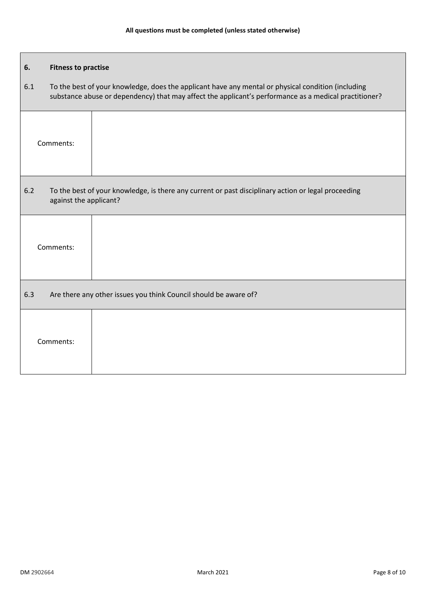| 6.    | <b>Fitness to practise</b>                                                                                                                                                                                  |
|-------|-------------------------------------------------------------------------------------------------------------------------------------------------------------------------------------------------------------|
| 6.1   | To the best of your knowledge, does the applicant have any mental or physical condition (including<br>substance abuse or dependency) that may affect the applicant's performance as a medical practitioner? |
|       | Comments:                                                                                                                                                                                                   |
| $6.2$ | To the best of your knowledge, is there any current or past disciplinary action or legal proceeding<br>against the applicant?                                                                               |
|       | Comments:                                                                                                                                                                                                   |
| 6.3   | Are there any other issues you think Council should be aware of?                                                                                                                                            |
|       | Comments:                                                                                                                                                                                                   |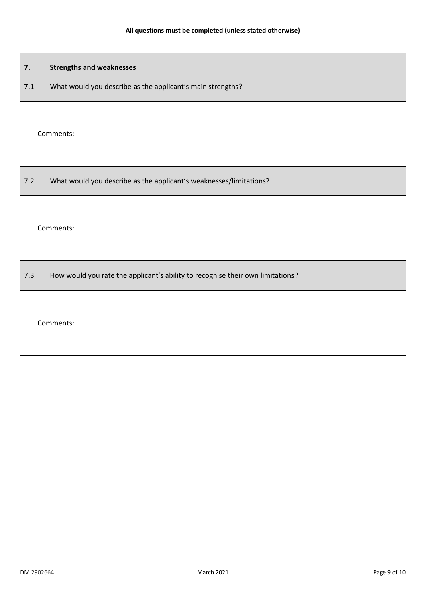| 7.                                                                                    |           | <b>Strengths and weaknesses</b>                                    |  |
|---------------------------------------------------------------------------------------|-----------|--------------------------------------------------------------------|--|
| 7.1                                                                                   |           | What would you describe as the applicant's main strengths?         |  |
|                                                                                       | Comments: |                                                                    |  |
| 7.2                                                                                   |           | What would you describe as the applicant's weaknesses/limitations? |  |
|                                                                                       | Comments: |                                                                    |  |
| How would you rate the applicant's ability to recognise their own limitations?<br>7.3 |           |                                                                    |  |
|                                                                                       | Comments: |                                                                    |  |